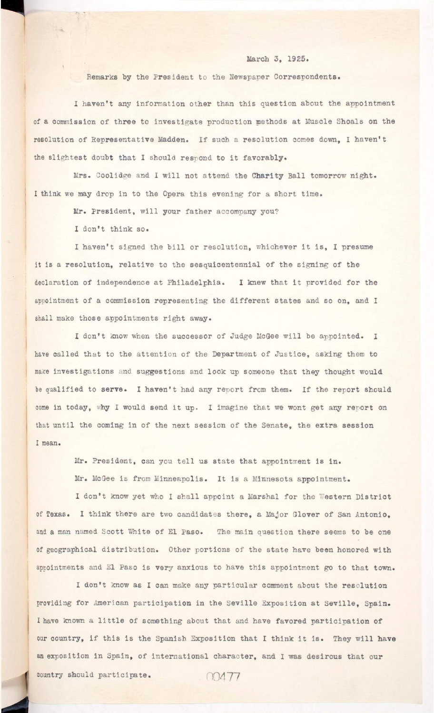## **)?.. March 3, 1925.**

**I haven't any information other than this question about the appointment of a commission of three to investigate production methods at Muscle Shoals on the resolution of Representative Madden. I f such a resolution comes down, I haven't**  the slightest doubt that I should respond to it favorably.

Mrs. Coolidge and I will not attend the Charity Ball tomorrow night. I think we may drop in to the Opera this evening for a short time.

Mr. President, will your father accompany you?

**Remarks by the President to the Newspaper Correspondents.** 

I haven't signed the bill or resolution, whichever it is, I presume it is a resolution, relative to the sesquicentennial of the signing of the declaration of independence at Philadelphia. I knew that it provided for the **appointment of a commission representing the different states and so on, and I shall make those appointments right away.** 

**I don't think so.** 

I don't know when the successor of Judge McGee will be appointed. I have called that to the attention of the Department of Justice, asking them to make investigations and suggestions and look up someone that they thought would **be qualified to serve. I haven't had any report from them. If the report should**  come in today, why I would send it up. I imagine that we wont get any report on that until the coming in of the next session of the Senate, the extra session **I mean.** 

> Mr. President, can you tell us state that appointment is in. **Mr. McGee is from Minneapolis. It is a Minnesota appointment.**

I don't know yet who I shall appoint a Marshal for the Western District **of Texas. I think there are two candidates there, a Major Glover of San Antonio,**  and a man named Scott White of El Paso. The main question there seems to be one

**of geographical distribution . Other portions of the state have been honored with**  appointments and El Paso is very anxious to have this appointment go to that town. **I don't know as I can make any particular comment about the resolution providing for American participation in the Seville Exposition at Seville. Spain.** I have known a little of something about that and have favored participation of our country, if this is the Spanish Exposition that I think it is. They will have an exposition in Spain, of international character, and I was desirous that our country should participate. 004 77